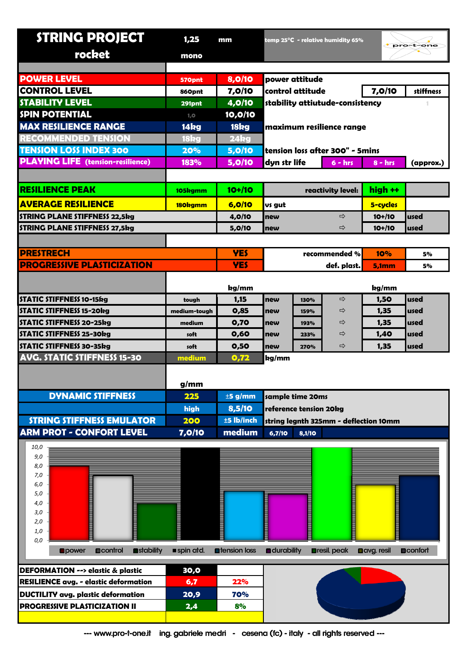| <b>STRING PROJECT</b>                          | 1,25                                                                | mm                    |                                        |        | temp $25^{\circ}$ C - relative humidity 65% |                   | pro-t-one        |
|------------------------------------------------|---------------------------------------------------------------------|-----------------------|----------------------------------------|--------|---------------------------------------------|-------------------|------------------|
| rocket                                         | mono                                                                |                       |                                        |        |                                             |                   |                  |
|                                                |                                                                     |                       |                                        |        |                                             |                   |                  |
| <b>POWER LEVEL</b>                             | 570pnt                                                              | 8,0/10                | power attitude                         |        |                                             |                   |                  |
| <b>CONTROL LEVEL</b>                           | 860pnt                                                              | 7,0/10                | control attitude                       |        |                                             | 7,0/10            | stiffness        |
| <b>STABILITY LEVEL</b>                         | 291pnt                                                              | 4,0/10                | stability attiutude-consistency        |        |                                             |                   |                  |
| <b>SPIN POTENTIAL</b>                          | 1, 0                                                                | 10,0/10               |                                        |        |                                             |                   |                  |
| <b>MAX RESILIENCE RANGE</b>                    | 14kg                                                                | 18kg                  | maximum resilience range               |        |                                             |                   |                  |
| <b>RECOMMENDED TENSION</b>                     | 18kg                                                                | 24kg                  |                                        |        |                                             |                   |                  |
| <b>TENSION LOSS INDEX 300</b>                  | 20%                                                                 | 5,0/10                | tension loss after 300" - 5mins        |        |                                             |                   |                  |
| <b>PLAYING LIFE</b> (tension-resilience)       | 183%                                                                | 5,0/10                | dyn str life<br>$6 - hrs$<br>$8 - hrs$ |        |                                             |                   | (approx.)        |
|                                                |                                                                     |                       |                                        |        |                                             |                   |                  |
| <b>RESILIENCE PEAK</b>                         | 105kgmm                                                             | $10+110$              |                                        |        | reactivity level:                           | high ++           |                  |
| <b>AVERAGE RESILIENCE</b>                      | 180kgmm                                                             | 6,0/10                | us gut                                 |        |                                             | 5-cycles          |                  |
| <b>STRING PLANE STIFFNESS 22,5kg</b>           |                                                                     | 4,0/10                | new                                    |        | $\Rightarrow$                               | $10+110$          | used             |
| <b>STRING PLANE STIFFNESS 27,5kg</b>           |                                                                     | 5,0/10                | new                                    |        | ⇨                                           | $10+110$          | used             |
|                                                |                                                                     |                       |                                        |        |                                             |                   |                  |
| <b>PRESTRECH</b>                               |                                                                     | <b>YES</b>            |                                        |        | recommended %                               | 10%               | 5%               |
| <b>PROGRESSIVE PLASTICIZATION</b>              |                                                                     | <b>YES</b>            |                                        |        | def. plast.                                 | 5,1mm             | 5%               |
|                                                |                                                                     |                       |                                        |        |                                             |                   |                  |
|                                                |                                                                     | kg/mm                 |                                        |        |                                             | kg/mm             |                  |
| STATIC STIFFNESS 10-15kg                       | tough                                                               | 1,15                  | new                                    | 130%   | ⇨                                           | 1,50              | used             |
| <b>STATIC STIFFNESS 15-20kg</b>                | medium-tough                                                        | 0,85                  | new                                    | 159%   | ⇨                                           | 1,35              | used             |
| <b>STATIC STIFFNESS 20-25kg</b>                | medium                                                              | 0,70                  | new                                    | 193%   | ⇨                                           | 1,35              | used             |
| STATIC STIFFNESS 25-30kg                       | soft                                                                | 0,60                  | new                                    | 233%   | ⇨                                           | 1,40              | used             |
| <b>STATIC STIFFNESS 30-35kg</b>                | soft                                                                | 0,50                  | new                                    | 270%   | ⇨                                           | 1,35              | used             |
| <b>AVG. STATIC STIFFNESS 15-30</b>             | medium                                                              | 0,72                  | kg/mm                                  |        |                                             |                   |                  |
|                                                | g/mm                                                                |                       |                                        |        |                                             |                   |                  |
| <b>DYNAMIC STIFFNESS</b>                       | 225                                                                 | $±5$ g/mm             | sample time 20ms                       |        |                                             |                   |                  |
|                                                | high                                                                | 8,5/10                | reference tension 20kg                 |        |                                             |                   |                  |
| <b>STRING STIFFNESS EMULATOR</b>               | 200                                                                 | ±5 lb/inch            | string legnth 325mm - deflection 10mm  |        |                                             |                   |                  |
| <b>ARM PROT - CONFORT LEVEL</b>                | 7,0/10                                                              | medium                | 6,7/10                                 | 8,1/10 |                                             |                   |                  |
| 10,0                                           |                                                                     |                       |                                        |        |                                             |                   |                  |
| 9,0                                            |                                                                     |                       |                                        |        |                                             |                   |                  |
| 8,0                                            |                                                                     |                       |                                        |        |                                             |                   |                  |
| 7,0<br>6,0                                     |                                                                     |                       |                                        |        |                                             |                   |                  |
| 5,0                                            |                                                                     |                       |                                        |        |                                             |                   |                  |
| 4,0                                            |                                                                     |                       |                                        |        |                                             |                   |                  |
| 3,0<br>2,0                                     |                                                                     |                       |                                        |        |                                             |                   |                  |
| 1,0                                            | ▏                                                                   |                       |                                        |        |                                             |                   |                  |
| 0,0                                            |                                                                     |                       |                                        |        |                                             |                   |                  |
| stability<br><b>D</b> control<br><b>Opower</b> | spin atd.                                                           | <b>n</b> tension loss | <b>a</b> durability                    |        | <b>Dresil</b> . peak                        | <b>Davg.resil</b> | <b>D</b> confort |
| DEFORMATION --> elastic & plastic              | 30,0                                                                |                       |                                        |        |                                             |                   |                  |
| <b>RESILIENCE avg. - elastic deformation</b>   | 6,7                                                                 | 22%                   |                                        |        |                                             |                   |                  |
| <b>DUCTILITY avg. plastic deformation</b>      | 20,9                                                                | <b>70%</b>            |                                        |        |                                             |                   |                  |
| <b>PROGRESSIVE PLASTICIZATION II</b>           | 2,4                                                                 | 8%                    |                                        |        |                                             |                   |                  |
|                                                |                                                                     |                       |                                        |        |                                             |                   |                  |
| --- www.pro-t-one.it                           | ing. gabriele medri - cesena (fc) - italy - all rights reserved --- |                       |                                        |        |                                             |                   |                  |